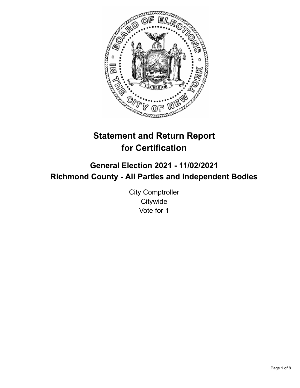

# **Statement and Return Report for Certification**

## **General Election 2021 - 11/02/2021 Richmond County - All Parties and Independent Bodies**

City Comptroller **Citywide** Vote for 1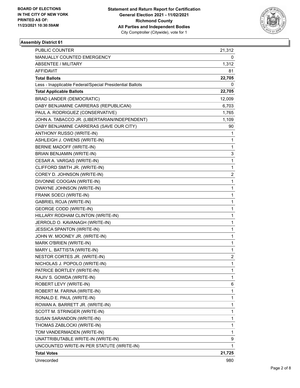

| PUBLIC COUNTER                                           | 21,312 |
|----------------------------------------------------------|--------|
| MANUALLY COUNTED EMERGENCY                               | 0      |
| ABSENTEE / MILITARY                                      | 1,312  |
| AFFIDAVIT                                                | 81     |
| <b>Total Ballots</b>                                     | 22,705 |
| Less - Inapplicable Federal/Special Presidential Ballots | 0      |
| <b>Total Applicable Ballots</b>                          | 22,705 |
| <b>BRAD LANDER (DEMOCRATIC)</b>                          | 12,009 |
| DABY BENJAMINE CARRERAS (REPUBLICAN)                     | 6,703  |
| PAUL A. RODRIGUEZ (CONSERVATIVE)                         | 1,765  |
| JOHN A. TABACCO JR. (LIBERTARIAN/INDEPENDENT)            | 1,109  |
| DABY BENJAMINE CARRERAS (SAVE OUR CITY)                  | 90     |
| ANTHONY RUSSO (WRITE-IN)                                 | 1      |
| ASHLEIGH J. OWENS (WRITE-IN)                             | 1      |
| BERNIE MADOFF (WRITE-IN)                                 | 1      |
| BRIAN BENJAMIN (WRITE-IN)                                | 3      |
| CESAR A. VARGAS (WRITE-IN)                               | 1      |
| CLIFFORD SMITH JR. (WRITE-IN)                            | 1      |
| COREY D. JOHNSON (WRITE-IN)                              | 2      |
| DIVONNE COOGAN (WRITE-IN)                                | 1      |
| DWAYNE JOHNSON (WRITE-IN)                                | 1      |
| FRANK SOECI (WRITE-IN)                                   | 1      |
| GABRIEL ROJA (WRITE-IN)                                  | 1      |
| <b>GEORGE CODD (WRITE-IN)</b>                            | 1      |
| HILLARY RODHAM CLINTON (WRITE-IN)                        | 1      |
| JERROLD O. KAVANAGH (WRITE-IN)                           | 1      |
| <b>JESSICA SPANTON (WRITE-IN)</b>                        | 1      |
| JOHN W. MOONEY JR. (WRITE-IN)                            | 1      |
| MARK O'BRIEN (WRITE-IN)                                  | 1      |
| MARY L. BATTISTA (WRITE-IN)                              | 1      |
| NESTOR CORTES JR. (WRITE-IN)                             | 2      |
| NICHOLAS J. POPOLO (WRITE-IN)                            | 1      |
| PATRICE BORTLEY (WRITE-IN)                               | 1      |
| RAJIV S. GOWDA (WRITE-IN)                                | 1      |
| ROBERT LEVY (WRITE-IN)                                   | 6      |
| ROBERT M. FARINA (WRITE-IN)                              | 1      |
| RONALD E. PAUL (WRITE-IN)                                | 1      |
| ROWAN A. BARRETT JR. (WRITE-IN)                          | 1      |
| SCOTT M. STRINGER (WRITE-IN)                             | 1      |
| SUSAN SARANDON (WRITE-IN)                                | 1      |
| THOMAS ZABLOCKI (WRITE-IN)                               | 1      |
| TOM VANDERMADEN (WRITE-IN)                               | 1      |
| UNATTRIBUTABLE WRITE-IN (WRITE-IN)                       | 9      |
| UNCOUNTED WRITE-IN PER STATUTE (WRITE-IN)                | 1      |
| <b>Total Votes</b>                                       | 21,725 |
| Unrecorded                                               | 980    |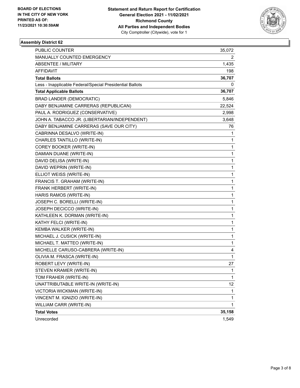

| <b>PUBLIC COUNTER</b>                                    | 35,072 |
|----------------------------------------------------------|--------|
| MANUALLY COUNTED EMERGENCY                               | 2      |
| ABSENTEE / MILITARY                                      | 1,435  |
| AFFIDAVIT                                                | 198    |
| <b>Total Ballots</b>                                     | 36,707 |
| Less - Inapplicable Federal/Special Presidential Ballots | 0      |
| <b>Total Applicable Ballots</b>                          | 36,707 |
| <b>BRAD LANDER (DEMOCRATIC)</b>                          | 5,846  |
| DABY BENJAMINE CARRERAS (REPUBLICAN)                     | 22,524 |
| PAUL A. RODRIGUEZ (CONSERVATIVE)                         | 2,998  |
| JOHN A. TABACCO JR. (LIBERTARIAN/INDEPENDENT)            | 3,648  |
| DABY BENJAMINE CARRERAS (SAVE OUR CITY)                  | 76     |
| CABRINNA DESALVO (WRITE-IN)                              | 1      |
| CHARLES TANTILLO (WRITE-IN)                              | 1      |
| COREY BOOKER (WRITE-IN)                                  | 1      |
| DAMIAN DUANE (WRITE-IN)                                  | 1      |
| DAVID DELISA (WRITE-IN)                                  | 1      |
| DAVID WEPRIN (WRITE-IN)                                  | 1      |
| ELLIOT WEISS (WRITE-IN)                                  | 1      |
| FRANCIS T. GRAHAM (WRITE-IN)                             | 1      |
| FRANK HERBERT (WRITE-IN)                                 | 1      |
| HARIS RAMOS (WRITE-IN)                                   | 1      |
| JOSEPH C. BORELLI (WRITE-IN)                             | 1      |
| JOSEPH DECICCO (WRITE-IN)                                | 1      |
| KATHLEEN K. DORMAN (WRITE-IN)                            | 1      |
| KATHY FELCI (WRITE-IN)                                   | 1      |
| KEMBA WALKER (WRITE-IN)                                  | 1      |
| MICHAEL J. CUSICK (WRITE-IN)                             | 1      |
| MICHAEL T. MATTEO (WRITE-IN)                             | 1      |
| MICHELLE CARUSO-CABRERA (WRITE-IN)                       | 4      |
| OLIVIA M. FRASCA (WRITE-IN)                              | 1      |
| ROBERT LEVY (WRITE-IN)                                   | 27     |
| STEVEN KRAMER (WRITE-IN)                                 | 1      |
| TOM FRAHER (WRITE-IN)                                    | 1      |
| UNATTRIBUTABLE WRITE-IN (WRITE-IN)                       | 12     |
| VICTORIA WICKMAN (WRITE-IN)                              | 1      |
| VINCENT M. IGNIZIO (WRITE-IN)                            | 1      |
| WILLIAM CARR (WRITE-IN)                                  | 1      |
| <b>Total Votes</b>                                       | 35,158 |
| Unrecorded                                               | 1,549  |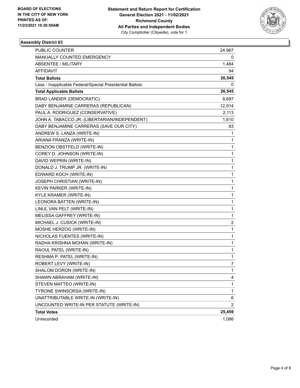

| PUBLIC COUNTER                                           | 24,967       |
|----------------------------------------------------------|--------------|
| MANUALLY COUNTED EMERGENCY                               | 0            |
| <b>ABSENTEE / MILITARY</b>                               | 1,484        |
| AFFIDAVIT                                                | 94           |
| <b>Total Ballots</b>                                     | 26,545       |
| Less - Inapplicable Federal/Special Presidential Ballots | 0            |
| <b>Total Applicable Ballots</b>                          | 26,545       |
| <b>BRAD LANDER (DEMOCRATIC)</b>                          | 8,697        |
| DABY BENJAMINE CARRERAS (REPUBLICAN)                     | 12,914       |
| PAUL A. RODRIGUEZ (CONSERVATIVE)                         | 2,113        |
| JOHN A. TABACCO JR. (LIBERTARIAN/INDEPENDENT)            | 1,610        |
| DABY BENJAMINE CARRERAS (SAVE OUR CITY)                  | 83           |
| ANDREW S. LANZA (WRITE-IN)                               | 1            |
| ARIANA FRANZA (WRITE-IN)                                 | 1            |
| BENZION OBSTFELD (WRITE-IN)                              | 1            |
| COREY D. JOHNSON (WRITE-IN)                              | 1            |
| DAVID WEPRIN (WRITE-IN)                                  | 1            |
| DONALD J. TRUMP JR. (WRITE-IN)                           | 1            |
| EDWARD KOCH (WRITE-IN)                                   | 1            |
| JOSEPH CHRISTIAN (WRITE-IN)                              | 1            |
| KEVIN PARKER (WRITE-IN)                                  | 1            |
| KYLE KRAMER (WRITE-IN)                                   | 1            |
| LEONORA BATTEN (WRITE-IN)                                | 1            |
| LINUL VAN PELT (WRITE-IN)                                | 1            |
| MELISSA GAFFREY (WRITE-IN)                               | 1            |
| MICHAEL J. CUSICK (WRITE-IN)                             | 2            |
| MOSHE HERZOG (WRITE-IN)                                  | 1            |
| NICHOLAS FUENTES (WRITE-IN)                              | 1            |
| RADHA KRISHNA MOHAN (WRITE-IN)                           | 1            |
| RAOUL PATEL (WRITE-IN)                                   | 1            |
| RESHMA P. PATEL (WRITE-IN)                               | 1            |
| ROBERT LEVY (WRITE-IN)                                   | 7            |
| SHALOM DORON (WRITE-IN)                                  | $\mathbf{1}$ |
| SHAWN ABRAHAM (WRITE-IN)                                 | 4            |
| STEVEN MATTEO (WRITE-IN)                                 | 1            |
| TYRONE SWINSORSA (WRITE-IN)                              | $\mathbf{1}$ |
| UNATTRIBUTABLE WRITE-IN (WRITE-IN)                       | 6            |
| UNCOUNTED WRITE-IN PER STATUTE (WRITE-IN)                | 2            |
| <b>Total Votes</b>                                       | 25,459       |
| Unrecorded                                               | 1,086        |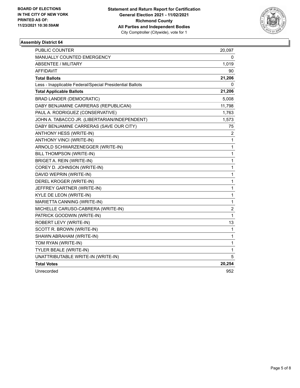

| <b>PUBLIC COUNTER</b>                                    | 20,097                  |
|----------------------------------------------------------|-------------------------|
| <b>MANUALLY COUNTED EMERGENCY</b>                        | 0                       |
| <b>ABSENTEE / MILITARY</b>                               | 1,019                   |
| <b>AFFIDAVIT</b>                                         | 90                      |
| <b>Total Ballots</b>                                     | 21,206                  |
| Less - Inapplicable Federal/Special Presidential Ballots | 0                       |
| <b>Total Applicable Ballots</b>                          | 21,206                  |
| <b>BRAD LANDER (DEMOCRATIC)</b>                          | 5,008                   |
| DABY BENJAMINE CARRERAS (REPUBLICAN)                     | 11,798                  |
| PAUL A. RODRIGUEZ (CONSERVATIVE)                         | 1,763                   |
| JOHN A. TABACCO JR. (LIBERTARIAN/INDEPENDENT)            | 1,573                   |
| DABY BENJAMINE CARRERAS (SAVE OUR CITY)                  | 75                      |
| ANTHONY HESS (WRITE-IN)                                  | 2                       |
| ANTHONY VINCI (WRITE-IN)                                 | 1                       |
| ARNOLD SCHWARZENEGGER (WRITE-IN)                         | 1                       |
| BILL THOMPSON (WRITE-IN)                                 | 1                       |
| BRIGET A. REIN (WRITE-IN)                                | 1                       |
| COREY D. JOHNSON (WRITE-IN)                              | 1                       |
| DAVID WEPRIN (WRITE-IN)                                  | 1                       |
| DEREL KROGER (WRITE-IN)                                  | 1                       |
| JEFFREY GARTNER (WRITE-IN)                               | 1                       |
| KYLE DE LEON (WRITE-IN)                                  | 1                       |
| MARIETTA CANNING (WRITE-IN)                              | $\mathbf{1}$            |
| MICHELLE CARUSO-CABRERA (WRITE-IN)                       | $\overline{\mathbf{c}}$ |
| PATRICK GOODWIN (WRITE-IN)                               | 1                       |
| ROBERT LEVY (WRITE-IN)                                   | 13                      |
| SCOTT R. BROWN (WRITE-IN)                                | $\mathbf{1}$            |
| SHAWN ABRAHAM (WRITE-IN)                                 | $\mathbf 1$             |
| TOM RYAN (WRITE-IN)                                      | 1                       |
| TYLER BEALE (WRITE-IN)                                   | 1                       |
| UNATTRIBUTABLE WRITE-IN (WRITE-IN)                       | 5                       |
| <b>Total Votes</b>                                       | 20,254                  |
| Unrecorded                                               | 952                     |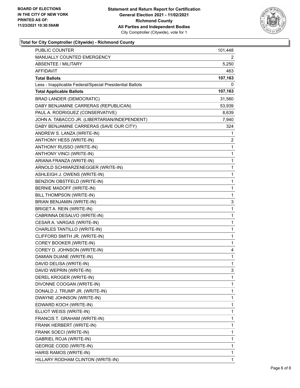

#### **Total for City Comptroller (Citywide) - Richmond County**

| MANUALLY COUNTED EMERGENCY<br>2<br><b>ABSENTEE / MILITARY</b><br>5,250<br>AFFIDAVIT<br>463<br><b>Total Ballots</b><br>107,163<br>Less - Inapplicable Federal/Special Presidential Ballots<br>0<br><b>Total Applicable Ballots</b><br>107,163<br><b>BRAD LANDER (DEMOCRATIC)</b><br>31,560<br>DABY BENJAMINE CARRERAS (REPUBLICAN)<br>53,939<br>PAUL A. RODRIGUEZ (CONSERVATIVE)<br>8,639<br>JOHN A. TABACCO JR. (LIBERTARIAN/INDEPENDENT)<br>7,940<br>DABY BENJAMINE CARRERAS (SAVE OUR CITY)<br>324<br>ANDREW S. LANZA (WRITE-IN)<br>1<br>ANTHONY HESS (WRITE-IN)<br>2<br>ANTHONY RUSSO (WRITE-IN)<br>1<br>ANTHONY VINCI (WRITE-IN)<br>1<br>ARIANA FRANZA (WRITE-IN)<br>1<br>ARNOLD SCHWARZENEGGER (WRITE-IN)<br>1<br>ASHLEIGH J. OWENS (WRITE-IN)<br>1<br>BENZION OBSTFELD (WRITE-IN)<br>1<br>BERNIE MADOFF (WRITE-IN)<br>1<br>BILL THOMPSON (WRITE-IN)<br>1<br>BRIAN BENJAMIN (WRITE-IN)<br>3<br>BRIGET A. REIN (WRITE-IN)<br>1<br>CABRINNA DESALVO (WRITE-IN)<br>1<br>CESAR A. VARGAS (WRITE-IN)<br>1<br>CHARLES TANTILLO (WRITE-IN)<br>1<br>CLIFFORD SMITH JR. (WRITE-IN)<br>1<br>COREY BOOKER (WRITE-IN)<br>1<br>COREY D. JOHNSON (WRITE-IN)<br>4<br>DAMIAN DUANE (WRITE-IN)<br>1<br>DAVID DELISA (WRITE-IN)<br>1<br>DAVID WEPRIN (WRITE-IN)<br>3<br>DEREL KROGER (WRITE-IN)<br>1<br>DIVONNE COOGAN (WRITE-IN)<br>1<br>DONALD J. TRUMP JR. (WRITE-IN)<br>1<br>DWAYNE JOHNSON (WRITE-IN)<br>1<br>EDWARD KOCH (WRITE-IN)<br>1<br>ELLIOT WEISS (WRITE-IN)<br>1<br>FRANCIS T. GRAHAM (WRITE-IN)<br>1<br>FRANK HERBERT (WRITE-IN)<br>1<br>1<br>FRANK SOECI (WRITE-IN)<br>GABRIEL ROJA (WRITE-IN)<br>1<br><b>GEORGE CODD (WRITE-IN)</b><br>1<br>HARIS RAMOS (WRITE-IN)<br>1<br>HILLARY RODHAM CLINTON (WRITE-IN)<br>1 | <b>PUBLIC COUNTER</b> | 101,448 |
|-----------------------------------------------------------------------------------------------------------------------------------------------------------------------------------------------------------------------------------------------------------------------------------------------------------------------------------------------------------------------------------------------------------------------------------------------------------------------------------------------------------------------------------------------------------------------------------------------------------------------------------------------------------------------------------------------------------------------------------------------------------------------------------------------------------------------------------------------------------------------------------------------------------------------------------------------------------------------------------------------------------------------------------------------------------------------------------------------------------------------------------------------------------------------------------------------------------------------------------------------------------------------------------------------------------------------------------------------------------------------------------------------------------------------------------------------------------------------------------------------------------------------------------------------------------------------------------------------------------------------------------------------------------------------------------------------------------------------|-----------------------|---------|
|                                                                                                                                                                                                                                                                                                                                                                                                                                                                                                                                                                                                                                                                                                                                                                                                                                                                                                                                                                                                                                                                                                                                                                                                                                                                                                                                                                                                                                                                                                                                                                                                                                                                                                                       |                       |         |
|                                                                                                                                                                                                                                                                                                                                                                                                                                                                                                                                                                                                                                                                                                                                                                                                                                                                                                                                                                                                                                                                                                                                                                                                                                                                                                                                                                                                                                                                                                                                                                                                                                                                                                                       |                       |         |
|                                                                                                                                                                                                                                                                                                                                                                                                                                                                                                                                                                                                                                                                                                                                                                                                                                                                                                                                                                                                                                                                                                                                                                                                                                                                                                                                                                                                                                                                                                                                                                                                                                                                                                                       |                       |         |
|                                                                                                                                                                                                                                                                                                                                                                                                                                                                                                                                                                                                                                                                                                                                                                                                                                                                                                                                                                                                                                                                                                                                                                                                                                                                                                                                                                                                                                                                                                                                                                                                                                                                                                                       |                       |         |
|                                                                                                                                                                                                                                                                                                                                                                                                                                                                                                                                                                                                                                                                                                                                                                                                                                                                                                                                                                                                                                                                                                                                                                                                                                                                                                                                                                                                                                                                                                                                                                                                                                                                                                                       |                       |         |
|                                                                                                                                                                                                                                                                                                                                                                                                                                                                                                                                                                                                                                                                                                                                                                                                                                                                                                                                                                                                                                                                                                                                                                                                                                                                                                                                                                                                                                                                                                                                                                                                                                                                                                                       |                       |         |
|                                                                                                                                                                                                                                                                                                                                                                                                                                                                                                                                                                                                                                                                                                                                                                                                                                                                                                                                                                                                                                                                                                                                                                                                                                                                                                                                                                                                                                                                                                                                                                                                                                                                                                                       |                       |         |
|                                                                                                                                                                                                                                                                                                                                                                                                                                                                                                                                                                                                                                                                                                                                                                                                                                                                                                                                                                                                                                                                                                                                                                                                                                                                                                                                                                                                                                                                                                                                                                                                                                                                                                                       |                       |         |
|                                                                                                                                                                                                                                                                                                                                                                                                                                                                                                                                                                                                                                                                                                                                                                                                                                                                                                                                                                                                                                                                                                                                                                                                                                                                                                                                                                                                                                                                                                                                                                                                                                                                                                                       |                       |         |
|                                                                                                                                                                                                                                                                                                                                                                                                                                                                                                                                                                                                                                                                                                                                                                                                                                                                                                                                                                                                                                                                                                                                                                                                                                                                                                                                                                                                                                                                                                                                                                                                                                                                                                                       |                       |         |
|                                                                                                                                                                                                                                                                                                                                                                                                                                                                                                                                                                                                                                                                                                                                                                                                                                                                                                                                                                                                                                                                                                                                                                                                                                                                                                                                                                                                                                                                                                                                                                                                                                                                                                                       |                       |         |
|                                                                                                                                                                                                                                                                                                                                                                                                                                                                                                                                                                                                                                                                                                                                                                                                                                                                                                                                                                                                                                                                                                                                                                                                                                                                                                                                                                                                                                                                                                                                                                                                                                                                                                                       |                       |         |
|                                                                                                                                                                                                                                                                                                                                                                                                                                                                                                                                                                                                                                                                                                                                                                                                                                                                                                                                                                                                                                                                                                                                                                                                                                                                                                                                                                                                                                                                                                                                                                                                                                                                                                                       |                       |         |
|                                                                                                                                                                                                                                                                                                                                                                                                                                                                                                                                                                                                                                                                                                                                                                                                                                                                                                                                                                                                                                                                                                                                                                                                                                                                                                                                                                                                                                                                                                                                                                                                                                                                                                                       |                       |         |
|                                                                                                                                                                                                                                                                                                                                                                                                                                                                                                                                                                                                                                                                                                                                                                                                                                                                                                                                                                                                                                                                                                                                                                                                                                                                                                                                                                                                                                                                                                                                                                                                                                                                                                                       |                       |         |
|                                                                                                                                                                                                                                                                                                                                                                                                                                                                                                                                                                                                                                                                                                                                                                                                                                                                                                                                                                                                                                                                                                                                                                                                                                                                                                                                                                                                                                                                                                                                                                                                                                                                                                                       |                       |         |
|                                                                                                                                                                                                                                                                                                                                                                                                                                                                                                                                                                                                                                                                                                                                                                                                                                                                                                                                                                                                                                                                                                                                                                                                                                                                                                                                                                                                                                                                                                                                                                                                                                                                                                                       |                       |         |
|                                                                                                                                                                                                                                                                                                                                                                                                                                                                                                                                                                                                                                                                                                                                                                                                                                                                                                                                                                                                                                                                                                                                                                                                                                                                                                                                                                                                                                                                                                                                                                                                                                                                                                                       |                       |         |
|                                                                                                                                                                                                                                                                                                                                                                                                                                                                                                                                                                                                                                                                                                                                                                                                                                                                                                                                                                                                                                                                                                                                                                                                                                                                                                                                                                                                                                                                                                                                                                                                                                                                                                                       |                       |         |
|                                                                                                                                                                                                                                                                                                                                                                                                                                                                                                                                                                                                                                                                                                                                                                                                                                                                                                                                                                                                                                                                                                                                                                                                                                                                                                                                                                                                                                                                                                                                                                                                                                                                                                                       |                       |         |
|                                                                                                                                                                                                                                                                                                                                                                                                                                                                                                                                                                                                                                                                                                                                                                                                                                                                                                                                                                                                                                                                                                                                                                                                                                                                                                                                                                                                                                                                                                                                                                                                                                                                                                                       |                       |         |
|                                                                                                                                                                                                                                                                                                                                                                                                                                                                                                                                                                                                                                                                                                                                                                                                                                                                                                                                                                                                                                                                                                                                                                                                                                                                                                                                                                                                                                                                                                                                                                                                                                                                                                                       |                       |         |
|                                                                                                                                                                                                                                                                                                                                                                                                                                                                                                                                                                                                                                                                                                                                                                                                                                                                                                                                                                                                                                                                                                                                                                                                                                                                                                                                                                                                                                                                                                                                                                                                                                                                                                                       |                       |         |
|                                                                                                                                                                                                                                                                                                                                                                                                                                                                                                                                                                                                                                                                                                                                                                                                                                                                                                                                                                                                                                                                                                                                                                                                                                                                                                                                                                                                                                                                                                                                                                                                                                                                                                                       |                       |         |
|                                                                                                                                                                                                                                                                                                                                                                                                                                                                                                                                                                                                                                                                                                                                                                                                                                                                                                                                                                                                                                                                                                                                                                                                                                                                                                                                                                                                                                                                                                                                                                                                                                                                                                                       |                       |         |
|                                                                                                                                                                                                                                                                                                                                                                                                                                                                                                                                                                                                                                                                                                                                                                                                                                                                                                                                                                                                                                                                                                                                                                                                                                                                                                                                                                                                                                                                                                                                                                                                                                                                                                                       |                       |         |
|                                                                                                                                                                                                                                                                                                                                                                                                                                                                                                                                                                                                                                                                                                                                                                                                                                                                                                                                                                                                                                                                                                                                                                                                                                                                                                                                                                                                                                                                                                                                                                                                                                                                                                                       |                       |         |
|                                                                                                                                                                                                                                                                                                                                                                                                                                                                                                                                                                                                                                                                                                                                                                                                                                                                                                                                                                                                                                                                                                                                                                                                                                                                                                                                                                                                                                                                                                                                                                                                                                                                                                                       |                       |         |
|                                                                                                                                                                                                                                                                                                                                                                                                                                                                                                                                                                                                                                                                                                                                                                                                                                                                                                                                                                                                                                                                                                                                                                                                                                                                                                                                                                                                                                                                                                                                                                                                                                                                                                                       |                       |         |
|                                                                                                                                                                                                                                                                                                                                                                                                                                                                                                                                                                                                                                                                                                                                                                                                                                                                                                                                                                                                                                                                                                                                                                                                                                                                                                                                                                                                                                                                                                                                                                                                                                                                                                                       |                       |         |
|                                                                                                                                                                                                                                                                                                                                                                                                                                                                                                                                                                                                                                                                                                                                                                                                                                                                                                                                                                                                                                                                                                                                                                                                                                                                                                                                                                                                                                                                                                                                                                                                                                                                                                                       |                       |         |
|                                                                                                                                                                                                                                                                                                                                                                                                                                                                                                                                                                                                                                                                                                                                                                                                                                                                                                                                                                                                                                                                                                                                                                                                                                                                                                                                                                                                                                                                                                                                                                                                                                                                                                                       |                       |         |
|                                                                                                                                                                                                                                                                                                                                                                                                                                                                                                                                                                                                                                                                                                                                                                                                                                                                                                                                                                                                                                                                                                                                                                                                                                                                                                                                                                                                                                                                                                                                                                                                                                                                                                                       |                       |         |
|                                                                                                                                                                                                                                                                                                                                                                                                                                                                                                                                                                                                                                                                                                                                                                                                                                                                                                                                                                                                                                                                                                                                                                                                                                                                                                                                                                                                                                                                                                                                                                                                                                                                                                                       |                       |         |
|                                                                                                                                                                                                                                                                                                                                                                                                                                                                                                                                                                                                                                                                                                                                                                                                                                                                                                                                                                                                                                                                                                                                                                                                                                                                                                                                                                                                                                                                                                                                                                                                                                                                                                                       |                       |         |
|                                                                                                                                                                                                                                                                                                                                                                                                                                                                                                                                                                                                                                                                                                                                                                                                                                                                                                                                                                                                                                                                                                                                                                                                                                                                                                                                                                                                                                                                                                                                                                                                                                                                                                                       |                       |         |
|                                                                                                                                                                                                                                                                                                                                                                                                                                                                                                                                                                                                                                                                                                                                                                                                                                                                                                                                                                                                                                                                                                                                                                                                                                                                                                                                                                                                                                                                                                                                                                                                                                                                                                                       |                       |         |
|                                                                                                                                                                                                                                                                                                                                                                                                                                                                                                                                                                                                                                                                                                                                                                                                                                                                                                                                                                                                                                                                                                                                                                                                                                                                                                                                                                                                                                                                                                                                                                                                                                                                                                                       |                       |         |
|                                                                                                                                                                                                                                                                                                                                                                                                                                                                                                                                                                                                                                                                                                                                                                                                                                                                                                                                                                                                                                                                                                                                                                                                                                                                                                                                                                                                                                                                                                                                                                                                                                                                                                                       |                       |         |
|                                                                                                                                                                                                                                                                                                                                                                                                                                                                                                                                                                                                                                                                                                                                                                                                                                                                                                                                                                                                                                                                                                                                                                                                                                                                                                                                                                                                                                                                                                                                                                                                                                                                                                                       |                       |         |
|                                                                                                                                                                                                                                                                                                                                                                                                                                                                                                                                                                                                                                                                                                                                                                                                                                                                                                                                                                                                                                                                                                                                                                                                                                                                                                                                                                                                                                                                                                                                                                                                                                                                                                                       |                       |         |
|                                                                                                                                                                                                                                                                                                                                                                                                                                                                                                                                                                                                                                                                                                                                                                                                                                                                                                                                                                                                                                                                                                                                                                                                                                                                                                                                                                                                                                                                                                                                                                                                                                                                                                                       |                       |         |
|                                                                                                                                                                                                                                                                                                                                                                                                                                                                                                                                                                                                                                                                                                                                                                                                                                                                                                                                                                                                                                                                                                                                                                                                                                                                                                                                                                                                                                                                                                                                                                                                                                                                                                                       |                       |         |
|                                                                                                                                                                                                                                                                                                                                                                                                                                                                                                                                                                                                                                                                                                                                                                                                                                                                                                                                                                                                                                                                                                                                                                                                                                                                                                                                                                                                                                                                                                                                                                                                                                                                                                                       |                       |         |
|                                                                                                                                                                                                                                                                                                                                                                                                                                                                                                                                                                                                                                                                                                                                                                                                                                                                                                                                                                                                                                                                                                                                                                                                                                                                                                                                                                                                                                                                                                                                                                                                                                                                                                                       |                       |         |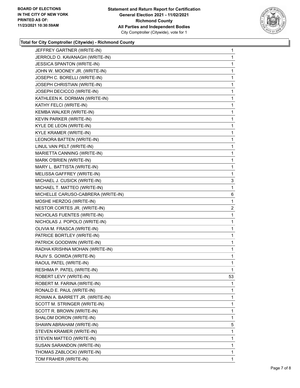

#### **Total for City Comptroller (Citywide) - Richmond County**

| JEFFREY GARTNER (WRITE-IN)         | $\mathbf{1}$   |
|------------------------------------|----------------|
| JERROLD O. KAVANAGH (WRITE-IN)     | 1              |
| JESSICA SPANTON (WRITE-IN)         | 1              |
| JOHN W. MOONEY JR. (WRITE-IN)      | 1              |
| JOSEPH C. BORELLI (WRITE-IN)       | 1              |
| JOSEPH CHRISTIAN (WRITE-IN)        | 1              |
| JOSEPH DECICCO (WRITE-IN)          | 1              |
| KATHLEEN K. DORMAN (WRITE-IN)      | 1              |
| KATHY FELCI (WRITE-IN)             | 1              |
| KEMBA WALKER (WRITE-IN)            | 1              |
| KEVIN PARKER (WRITE-IN)            | 1              |
| KYLE DE LEON (WRITE-IN)            | 1              |
| <b>KYLE KRAMER (WRITE-IN)</b>      | 1              |
| LEONORA BATTEN (WRITE-IN)          | 1              |
| LINUL VAN PELT (WRITE-IN)          | 1              |
| MARIETTA CANNING (WRITE-IN)        | 1              |
| MARK O'BRIEN (WRITE-IN)            | 1              |
| MARY L. BATTISTA (WRITE-IN)        | 1              |
| MELISSA GAFFREY (WRITE-IN)         | 1              |
| MICHAEL J. CUSICK (WRITE-IN)       | 3              |
| MICHAEL T. MATTEO (WRITE-IN)       | 1              |
| MICHELLE CARUSO-CABRERA (WRITE-IN) | 6              |
| MOSHE HERZOG (WRITE-IN)            | 1              |
| NESTOR CORTES JR. (WRITE-IN)       | $\overline{a}$ |
| NICHOLAS FUENTES (WRITE-IN)        | 1              |
| NICHOLAS J. POPOLO (WRITE-IN)      | 1              |
| OLIVIA M. FRASCA (WRITE-IN)        | 1              |
| PATRICE BORTLEY (WRITE-IN)         | 1              |
| PATRICK GOODWIN (WRITE-IN)         | 1              |
| RADHA KRISHNA MOHAN (WRITE-IN)     | 1              |
| RAJIV S. GOWDA (WRITE-IN)          | 1              |
| RAOUL PATEL (WRITE-IN)             | 1              |
| RESHMA P. PATEL (WRITE-IN)         | 1              |
| ROBERT LEVY (WRITE-IN)             | 53             |
| ROBERT M. FARINA (WRITE-IN)        | 1              |
| RONALD E. PAUL (WRITE-IN)          | 1              |
| ROWAN A. BARRETT JR. (WRITE-IN)    | 1              |
| SCOTT M. STRINGER (WRITE-IN)       | 1              |
| SCOTT R. BROWN (WRITE-IN)          | 1              |
| SHALOM DORON (WRITE-IN)            | 1              |
| SHAWN ABRAHAM (WRITE-IN)           | 5              |
| STEVEN KRAMER (WRITE-IN)           | 1              |
| STEVEN MATTEO (WRITE-IN)           | 1              |
| SUSAN SARANDON (WRITE-IN)          | 1              |
| THOMAS ZABLOCKI (WRITE-IN)         | 1              |
| TOM FRAHER (WRITE-IN)              | 1              |
|                                    |                |